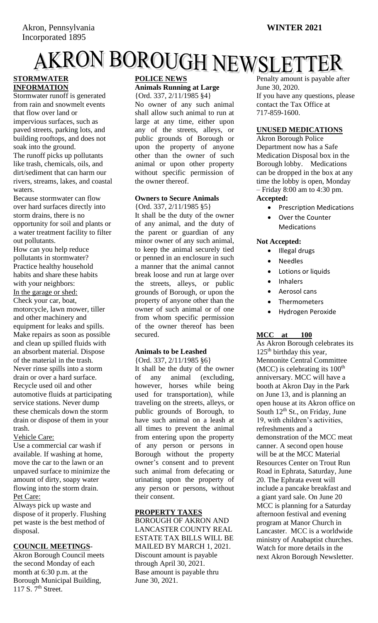# **AKRON BOROUGH NEWSLETTER**<br> **STORMWATER** POLICE NEWS PERILLY AMOUNT IS PAYABLE AT

# **INFORMATION**

Stormwater runoff is generated from rain and snowmelt events that flow over land or impervious surfaces, such as paved streets, parking lots, and building rooftops, and does not soak into the ground.

The runoff picks up pollutants like trash, chemicals, oils, and dirt/sediment that can harm our rivers, streams, lakes, and coastal waters.

Because stormwater can flow over hard surfaces directly into storm drains, there is no opportunity for soil and plants or a water treatment facility to filter out pollutants.

How can you help reduce pollutants in stormwater? Practice healthy household habits and share these habits with your neighbors: In the garage or shed: Check your car, boat, motorcycle, lawn mower, tiller and other machinery and equipment for leaks and spills. Make repairs as soon as possible and clean up spilled fluids with an absorbent material. Dispose of the material in the trash. Never rinse spills into a storm drain or over a hard surface. Recycle used oil and other automotive fluids at participating service stations. Never dump these chemicals down the storm drain or dispose of them in your trash.

Vehicle Care:

Use a commercial car wash if available. If washing at home, move the car to the lawn or an unpaved surface to minimize the amount of dirty, soapy water flowing into the storm drain. Pet Care:

Always pick up waste and dispose of it properly. Flushing pet waste is the best method of disposal.

#### **COUNCIL MEETINGS**-

Akron Borough Council meets the second Monday of each month at 6:30 p.m. at the Borough Municipal Building, 117 S.  $7<sup>th</sup>$  Street.

### **POLICE NEWS Animals Running at Large**

{Ord. 337, 2/11/1985 §4}

No owner of any such animal shall allow such animal to run at large at any time, either upon any of the streets, alleys, or public grounds of Borough or upon the property of anyone other than the owner of such animal or upon other property without specific permission of the owner thereof.

# **Owners to Secure Animals**

{Ord. 337, 2/11/1985 §5} It shall be the duty of the owner of any animal, and the duty of the parent or guardian of any minor owner of any such animal, to keep the animal securely tied or penned in an enclosure in such a manner that the animal cannot break loose and run at large over the streets, alleys, or public grounds of Borough, or upon the property of anyone other than the owner of such animal or of one from whom specific permission of the owner thereof has been secured.

# **Animals to be Leashed**

{Ord. 337, 2/11/1985 §6}

It shall be the duty of the owner of any animal (excluding, however, horses while being used for transportation), while traveling on the streets, alleys, or public grounds of Borough, to have such animal on a leash at all times to prevent the animal from entering upon the property of any person or persons in Borough without the property owner's consent and to prevent such animal from defecating or urinating upon the property of any person or persons, without their consent.

#### **PROPERTY TAXES**

BOROUGH OF AKRON AND LANCASTER COUNTY REAL ESTATE TAX BILLS WILL BE MAILED BY MARCH 1, 2021. Discount amount is payable through April 30, 2021. Base amount is payable thru June 30, 2021.

Penalty amount is payable after June 30, 2020. If you have any questions, please contact the Tax Office at 717-859-1600.

#### **UNUSED MEDICATIONS**

Akron Borough Police Department now has a Safe Medication Disposal box in the Borough lobby. Medications can be dropped in the box at any time the lobby is open, Monday – Friday 8:00 am to 4:30 pm. **Accepted:**

- Prescription Medications
- Over the Counter Medications

#### **Not Accepted:**

- Illegal drugs
- **Needles**
- Lotions or liquids
- Inhalers
- Aerosol cans
- Thermometers
- Hydrogen Peroxide

# **MCC at 100**

As Akron Borough celebrates its  $125<sup>th</sup>$  birthday this year, Mennonite Central Committee  $(MCC)$  is celebrating its  $100<sup>th</sup>$ anniversary. MCC will have a booth at Akron Day in the Park on June 13, and is planning an open house at its Akron office on South  $12^{th}$  St., on Friday, June 19, with children's activities, refreshments and a demonstration of the MCC meat canner. A second open house will be at the MCC Material Resources Center on Trout Run Road in Ephrata, Saturday, June 20. The Ephrata event will include a pancake breakfast and a giant yard sale. On June 20 MCC is planning for a Saturday afternoon festival and evening program at Manor Church in Lancaster. MCC is a worldwide ministry of Anabaptist churches. Watch for more details in the next Akron Borough Newsletter.